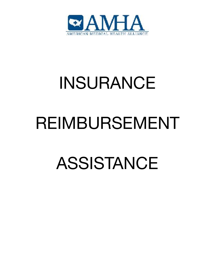

# INSURANCE

# REIMBURSEMENT

# ASSISTANCE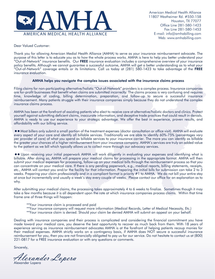

American Medical Health Alliance 11807 Westheimer Rd. #550-158 Houston, TX 77077 Office Line 281-580-1423 Fax Line 281-580-1453 E-mail: info@amhabilling.com Web: www.amhabilling.com

Dear Valued Customer:

Thank you for allowing American Medial Health Alliance (AMHA) to serve as your insurance reimbursement advocate. The purpose of this letter is to educate you as to how the whole process works. AMHA is here to help you better understand your "Out-of-Network" insurance benefits. Our FREE insurance evaluation includes a comprehensive overview of your insurance policy benefits. Although we cannot guarantee a successful outcome, AMHA will get a better understanding as to what your "Out-of-Network" coverage entails or its limitations. Call us today at (281) 580-1423 to take advantage of the FREE insurance evaluation.

#### AMHA helps you navigate the complex issues associated with the insurance claims process

Filing claims for non-participating alternative/holistic "Out-of-Network" providers is a complex process. Insurance companies are for-profit businesses that benefit when claims are submitted incorrectly. The claims process is very confusing and requires time, knowledge of coding, billing determination, preparation, and follow-up to secure a successful insurance reimbursement. Many patients struggle with their insurance companies simply because they do not understand the complex insurance claims process.

AMHA has been at the forefront of assisting patients who elect to receive care at alternative/holistic doctors and clinics. Protect yourself against submitting deficient claims, inaccurate information, and deceptive trade practices that could result in denials. AMHA is ready to use our experience to your strategic advantage. We offer the best in experience, proven results, and affordability with our billing service.

 Most billers only submit a small portion of the treatment expenses (doctor consultation or office visit). AMHA will evaluate every aspect of your care and identify all billable services. Traditionally we are able to identify 60%-75% (percentages vary per provider of care) of what you spend as billable services to your insurance carrier. The more you can identify as billable the greater your chances of a higher reimbursement from your insurance company. AMHA's services are truly an added value to the patient as we bill which typically allows us to collect more through our advocacy services.

 Upon receiving your initial paperwork AMHA will work diligently in evaluating your expenses and identifying what is billable. After doing so, AMHA will prepare your medical claims for processing in the appropriate format. AMHA will then submit your medical expenses for processing, follow-up on your medical bills through the reimbursement process so that you can concentrate on your medical care. If there is any pending paperwork, e.g., medical reports, billing statements, receipts, etc., AMHA will contact you and/or the facility for that information. Preparing the initial bills for submission can take 2 to 3 weeks. Preparing your claim professionally and in a compliant format is priority #1 to AMHA. We do not bill your entire stay at once but incrementally and usually a week's stay every couple of weeks. Please contact our office for an explanation as to why.

After submitting your medical claims, the processing takes approximately 4 to 6 weeks to finalize. Sometimes though it may take a few months because it is all dependent upon the rate at which insurance companies process claims. Within that time frame one of three things will happen:

- \*\*Your insurance claim is processed and paid
- \*\*Your insurance company will request more information (Medical Records, Letter of Medical Necessity, Etc.)
- \*\*Your insurance claim is denied. Should your claim be denied AMHA will submit an appeal on your behalf.

Dealing with insurance companies and their process is complicated and considering the financial commitment you have made toward your medical care, you deserve the best opportunity to recover as much back from them. With 18 years of experience serving as insurance reimbursement advocates AMHA is at the forefront of helping patients recoup monies for their medical expenses. AMHA strictly works on a contingency basis, if AMHA does NOT secure a successful insurance reimbursement for you, then you are not financially obligated to pay us for our service. Do not hesitate to contact us at (800) 221-0817 for a FREE insurance evaluation or with any questions or comments.

Sincerely,

Alexander Lopera Alexander Lopera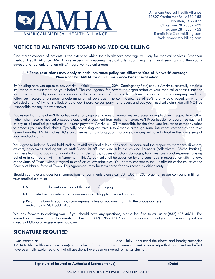

# NOTICE TO ALL PATIENTS REGARDING MEDICAL BILLING

One major concern of patients is the extent to which their healthcare coverage will pay for medical services. American medical Health Alliance (AMHA) are experts in preparing medical bills, submitting them, and serving as a third-party advocate for patients of alternative/integrative medical groups.

#### \* Some restrictions may apply as each insurance policy has different "Out-of-Network" coverage. Please contact AMHA for a FREE insurance benefit evaluation.

By initialing here you agree to pay AMHA \*(Initial) 20% (Contingency Rate) should AMHA successfully obtain a insurance reimbursement on your behalf. The contingency fee covers the organization of your medical expenses into the format recognized by insurance companies, the submission of your medical claims to your insurance company, and the follow up necessary to render a determination of coverage. The contingency fee of 20% is only paid based on what is collected and NOT what is billed. Should your insurance company not process and pay your medical claims you will NOT be responsible for any fee whatsoever.

You agree that none of AMHA parties makes any representations or warranties, expressed or implied, with respect to whether Patient shall receive medical procedure approval or payment from patient's insurer. AMHA parties do not guarantee payment of any or all medical procedures or insurer payment. AMHA is NOT responsible for the time your insurance company takes to process your medical claims. Typically processing can take 4 to 6 weeks although some insurance companies can take several months. AMHA makes NO guarantee as to how long your insurance company will take to finalize the processing of your medical claims.

You agree to indemnify and hold AMHA, its affiliates and subsidiaries and licensors, and the respective members, directors, officers, employees and agents of AMHA and its affiliates and subsidiaries and licensors (collectively, "AMHA Parties"), harmless from and against any and all claims, demands, causes of action, damages, liabilities, costs and expenses, arising out of or in connection with this Agreement. This Agreement shall be governed by and construed in accordance with the laws of the State of Texas, without regard to conflicts of law principles. You hereby consent to the jurisdiction of the courts of the County of Harris, State of Texas. This Agreement may be terminated for any reason by either party.

Should you have any questions, suggestions, or comments please call 281-580-1423. To authorize our company in filing your medical claim(s):

- Sign and date the authorization at the bottom of this page;
- Complete the opposite page by answering each applicable section; and,
- Return this form to your physician representative or you may mail it to the above address and/or fax to 281-580-1453

We look forward to assisting you. If you should have any questions, please feel free to call us at (832) 615-3531. For immediate transmission of documents, fax them to (832) 778-7090. You can also e-mail any of your concerns or questions directly at Globalbillingservice@mac.com

## SIGNATURE REQUIRED

I was treated at \_\_\_\_\_\_\_\_\_\_\_\_\_\_\_\_\_\_\_\_\_\_\_\_\_\_\_\_\_\_\_\_\_\_\_\_\_\_\_\_\_\_\_\_and I fully understand the above and hereby authorize AMHA to file health insurance claim(s) on my behalf. In signing this document, I (we) acknowledge that its content and effect have been fully explained and that all questions have been answered to my satisfaction.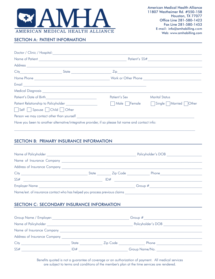

## SECTION A: PATIENT INFORMATION

| Patient's Date of Birth <u>_____________________________</u>                                        | Patient's Sex | <b>Marital Status</b>            |  |  |  |
|-----------------------------------------------------------------------------------------------------|---------------|----------------------------------|--|--|--|
| Patient Relationship to Policyholder ___________________                                            |               | Male Female Single Married Other |  |  |  |
| Self Spouse Child Other                                                                             |               |                                  |  |  |  |
| Person we may contact other than yourself                                                           |               |                                  |  |  |  |
| Have you been to another alternative/integrative provider, if so please list name and contact info: |               |                                  |  |  |  |

## SECTION B: PRIMARY INSURANCE INFORMATION

|                                                                                                                              |       |                       | Policyholder's DOB |  |  |
|------------------------------------------------------------------------------------------------------------------------------|-------|-----------------------|--------------------|--|--|
|                                                                                                                              |       |                       |                    |  |  |
|                                                                                                                              |       |                       |                    |  |  |
| City                                                                                                                         | State | Zip Code <b>Alact</b> | Phone              |  |  |
| SS#<br><u> 1980 - Johann Stoff, fransk konge en forsk politiker og det forskellige og det forskellige og det forskellige</u> |       | ID#                   |                    |  |  |
| <b>Employer Name</b>                                                                                                         |       |                       | Group $#$          |  |  |
| Name/ext. of insurance contact who has helped you process previous claims                                                    |       |                       |                    |  |  |

### SECTION C: SECONDARY INSURANCE INFORMATION

| Group Name / Employer:       |                    |          | Group $#$      |
|------------------------------|--------------------|----------|----------------|
| Name of Policyholder         | Policyholder's DOB |          |                |
| Name of Insurance Company    |                    |          |                |
| Address of Insurance Company |                    |          |                |
| City                         | State              | Zip Code | Phone          |
| SS#                          | ID#                |          | Group Name/No. |

Benefits quoted is not a guarantee of coverage or an authorization of payment. All medical services are subject to terms and conditions of the member's plan at the time services are rendered.